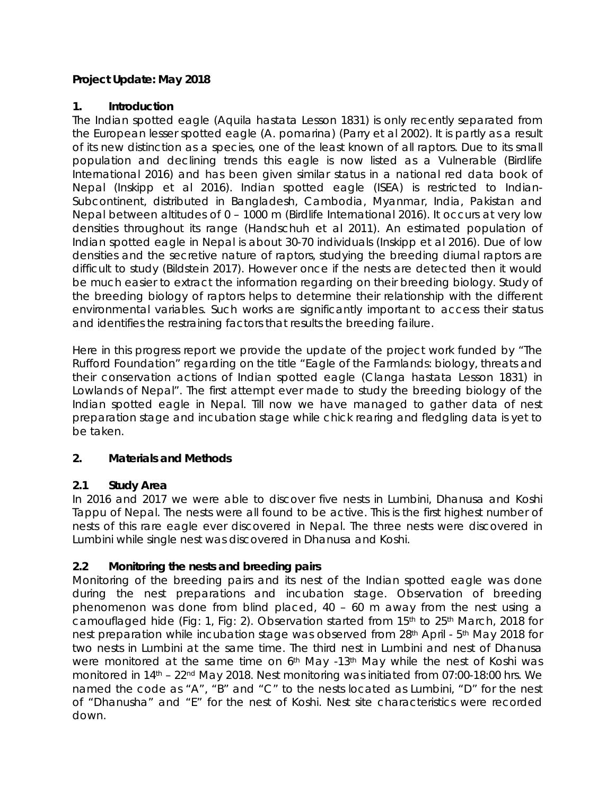## **Project Update: May 2018**

#### **1. Introduction**

The Indian spotted eagle (*Aquila hastata* Lesson 1831) is only recently separated from the European lesser spotted eagle (*A. pomarina*) (Parry et al 2002). It is partly as a result of its new distinction as a species, one of the least known of all raptors. Due to its small population and declining trends this eagle is now listed as a Vulnerable (Birdlife International 2016) and has been given similar status in a national red data book of Nepal (Inskipp et al 2016). Indian spotted eagle (ISEA) is restricted to Indian-Subcontinent, distributed in Bangladesh, Cambodia, Myanmar, India, Pakistan and Nepal between altitudes of 0 – 1000 m (Birdlife International 2016). It occurs at very low densities throughout its range (Handschuh et al 2011). An estimated population of Indian spotted eagle in Nepal is about 30-70 individuals (Inskipp et al 2016). Due of low densities and the secretive nature of raptors, studying the breeding diurnal raptors are difficult to study (Bildstein 2017). However once if the nests are detected then it would be much easier to extract the information regarding on their breeding biology. Study of the breeding biology of raptors helps to determine their relationship with the different environmental variables. Such works are significantly important to access their status and identifies the restraining factors that results the breeding failure.

Here in this progress report we provide the update of the project work funded by "The Rufford Foundation" regarding on the title "Eagle of the Farmlands: biology, threats and their conservation actions of Indian spotted eagle (*Clanga hastata* Lesson 1831) in Lowlands of Nepal". The first attempt ever made to study the breeding biology of the Indian spotted eagle in Nepal. Till now we have managed to gather data of nest preparation stage and incubation stage while chick rearing and fledgling data is yet to be taken.

#### **2. Materials and Methods**

#### **2.1 Study Area**

In 2016 and 2017 we were able to discover five nests in Lumbini, Dhanusa and Koshi Tappu of Nepal. The nests were all found to be active. This is the first highest number of nests of this rare eagle ever discovered in Nepal. The three nests were discovered in Lumbini while single nest was discovered in Dhanusa and Koshi.

#### **2.2 Monitoring the nests and breeding pairs**

Monitoring of the breeding pairs and its nest of the Indian spotted eagle was done during the nest preparations and incubation stage. Observation of breeding phenomenon was done from blind placed, 40 – 60 m away from the nest using a camouflaged hide (Fig: 1, Fig: 2). Observation started from 15<sup>th</sup> to 25<sup>th</sup> March, 2018 for nest preparation while incubation stage was observed from 28<sup>th</sup> April - 5<sup>th</sup> May 2018 for two nests in Lumbini at the same time. The third nest in Lumbini and nest of Dhanusa were monitored at the same time on 6<sup>th</sup> May -13<sup>th</sup> May while the nest of Koshi was monitored in 14<sup>th</sup> – 22<sup>nd</sup> May 2018. Nest monitoring was initiated from 07:00-18:00 hrs. We named the code as "A", "B" and "C" to the nests located as Lumbini, "D" for the nest of "Dhanusha" and "E" for the nest of Koshi. Nest site characteristics were recorded down.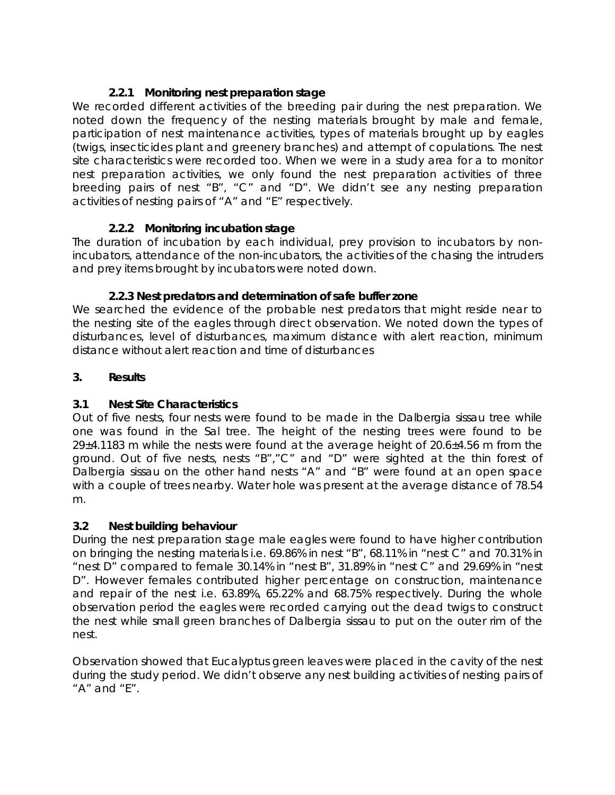# **2.2.1 Monitoring nest preparation stage**

We recorded different activities of the breeding pair during the nest preparation. We noted down the frequency of the nesting materials brought by male and female, participation of nest maintenance activities, types of materials brought up by eagles (twigs, insecticides plant and greenery branches) and attempt of copulations. The nest site characteristics were recorded too. When we were in a study area for a to monitor nest preparation activities, we only found the nest preparation activities of three breeding pairs of nest "B", "C" and "D". We didn't see any nesting preparation activities of nesting pairs of "A" and "E" respectively.

## **2.2.2 Monitoring incubation stage**

The duration of incubation by each individual, prey provision to incubators by nonincubators, attendance of the non-incubators, the activities of the chasing the intruders and prey items brought by incubators were noted down.

#### **2.2.3 Nest predators and determination of safe buffer zone**

We searched the evidence of the probable nest predators that might reside near to the nesting site of the eagles through direct observation. We noted down the types of disturbances, level of disturbances, maximum distance with alert reaction, minimum distance without alert reaction and time of disturbances

#### **3. Results**

### **3.1 Nest Site Characteristics**

Out of five nests, four nests were found to be made in the *Dalbergia sissau* tree while one was found in the Sal tree. The height of the nesting trees were found to be 29±4.1183 m while the nests were found at the average height of 20.6±4.56 m from the ground. Out of five nests, nests "B","C" and "D" were sighted at the thin forest of *Dalbergia sissau* on the other hand nests "A" and "B" were found at an open space with a couple of trees nearby. Water hole was present at the average distance of 78.54 m.

#### **3.2 Nest building behaviour**

During the nest preparation stage male eagles were found to have higher contribution on bringing the nesting materials i.e. 69.86% in nest "B", 68.11% in "nest C" and 70.31% in "nest D" compared to female 30.14% in "nest B", 31.89% in "nest C" and 29.69% in "nest D". However females contributed higher percentage on construction, maintenance and repair of the nest i.e. 63.89%, 65.22% and 68.75% respectively. During the whole observation period the eagles were recorded carrying out the dead twigs to construct the nest while small green branches of *Dalbergia sissau* to put on the outer rim of the nest.

Observation showed that Eucalyptus green leaves were placed in the cavity of the nest during the study period. We didn't observe any nest building activities of nesting pairs of "A" and "E".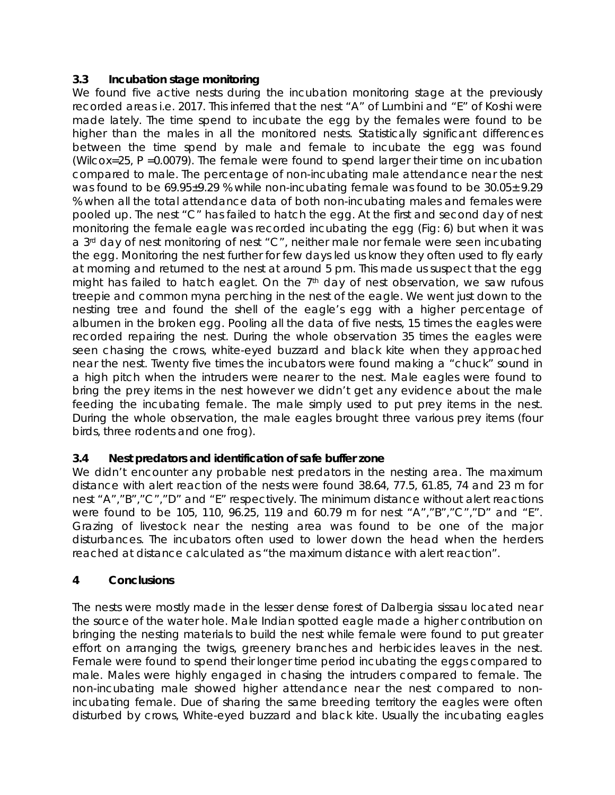## **3.3 Incubation stage monitoring**

We found five active nests during the incubation monitoring stage at the previously recorded areas i.e. 2017. This inferred that the nest "A" of Lumbini and "E" of Koshi were made lately. The time spend to incubate the egg by the females were found to be higher than the males in all the monitored nests. Statistically significant differences between the time spend by male and female to incubate the egg was found (Wilcox=25, P =0.0079). The female were found to spend larger their time on incubation compared to male. The percentage of non-incubating male attendance near the nest was found to be 69.95±9.29 % while non-incubating female was found to be 30.05± 9.29 % when all the total attendance data of both non-incubating males and females were pooled up. The nest "C" has failed to hatch the egg. At the first and second day of nest monitoring the female eagle was recorded incubating the egg (Fig: 6) but when it was a 3<sup>rd</sup> day of nest monitoring of nest "C", neither male nor female were seen incubating the egg. Monitoring the nest further for few days led us know they often used to fly early at morning and returned to the nest at around 5 pm. This made us suspect that the egg might has failed to hatch eaglet. On the  $7<sup>th</sup>$  day of nest observation, we saw rufous treepie and common myna perching in the nest of the eagle. We went just down to the nesting tree and found the shell of the eagle's egg with a higher percentage of albumen in the broken egg. Pooling all the data of five nests, 15 times the eagles were recorded repairing the nest. During the whole observation 35 times the eagles were seen chasing the crows, white-eyed buzzard and black kite when they approached near the nest. Twenty five times the incubators were found making a "chuck" sound in a high pitch when the intruders were nearer to the nest. Male eagles were found to bring the prey items in the nest however we didn't get any evidence about the male feeding the incubating female. The male simply used to put prey items in the nest. During the whole observation, the male eagles brought three various prey items (four birds, three rodents and one frog).

# **3.4 Nest predators and identification of safe buffer zone**

We didn't encounter any probable nest predators in the nesting area. The maximum distance with alert reaction of the nests were found 38.64, 77.5, 61.85, 74 and 23 m for nest "A","B","C","D" and "E" respectively. The minimum distance without alert reactions were found to be 105, 110, 96.25, 119 and 60.79 m for nest "A","B","C","D" and "E". Grazing of livestock near the nesting area was found to be one of the major disturbances. The incubators often used to lower down the head when the herders reached at distance calculated as "the maximum distance with alert reaction".

#### **4 Conclusions**

The nests were mostly made in the lesser dense forest of *Dalbergia sissau* located near the source of the water hole. Male Indian spotted eagle made a higher contribution on bringing the nesting materials to build the nest while female were found to put greater effort on arranging the twigs, greenery branches and herbicides leaves in the nest. Female were found to spend their longer time period incubating the eggs compared to male. Males were highly engaged in chasing the intruders compared to female. The non-incubating male showed higher attendance near the nest compared to nonincubating female. Due of sharing the same breeding territory the eagles were often disturbed by crows, White-eyed buzzard and black kite. Usually the incubating eagles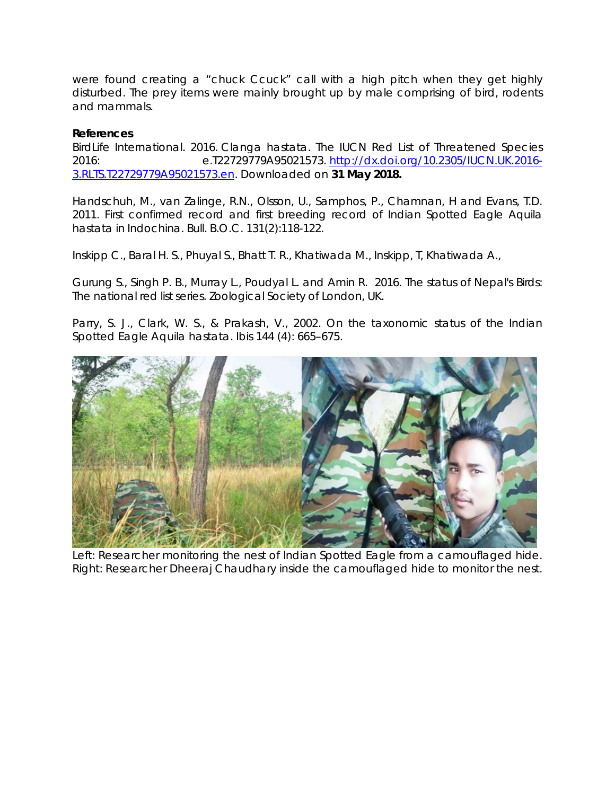were found creating a "chuck Ccuck" call with a high pitch when they get highly disturbed. The prey items were mainly brought up by male comprising of bird, rodents and mammals.

#### **References**

BirdLife International. 2016. *Clanga hastata*. The IUCN Red List of Threatened Species 2016: e.T22729779A95021573. [http://dx.doi.org/10.2305/IUCN.UK.2016-](http://dx.doi.org/10.2305/IUCN.UK.2016-3.RLTS.T22729779A95021573.en) [3.RLTS.T22729779A95021573.en.](http://dx.doi.org/10.2305/IUCN.UK.2016-3.RLTS.T22729779A95021573.en) Downloaded on **31 May 2018.**

Handschuh, M., van Zalinge, R.N., Olsson, U., Samphos, P., Chamnan, H and Evans, T.D. 2011. First confirmed record and first breeding record of Indian Spotted Eagle Aquila hastata in Indochina. Bull. B.O.C. 131(2):118-122.

Inskipp C., Baral H. S., Phuyal S., Bhatt T. R., Khatiwada M., Inskipp, T, Khatiwada A.,

Gurung S., Singh P. B., Murray L., Poudyal L. and Amin R. 2016. The status of Nepal's Birds: The national red list series. Zoological Society of London, UK.

Parry, S. J., Clark, W. S., & Prakash, V., 2002. On the taxonomic status of the Indian Spotted Eagle *Aquila hastata*. Ibis 144 (4): 665–675.



Left: Researcher monitoring the nest of Indian Spotted Eagle from a camouflaged hide. Right: Researcher Dheeraj Chaudhary inside the camouflaged hide to monitor the nest.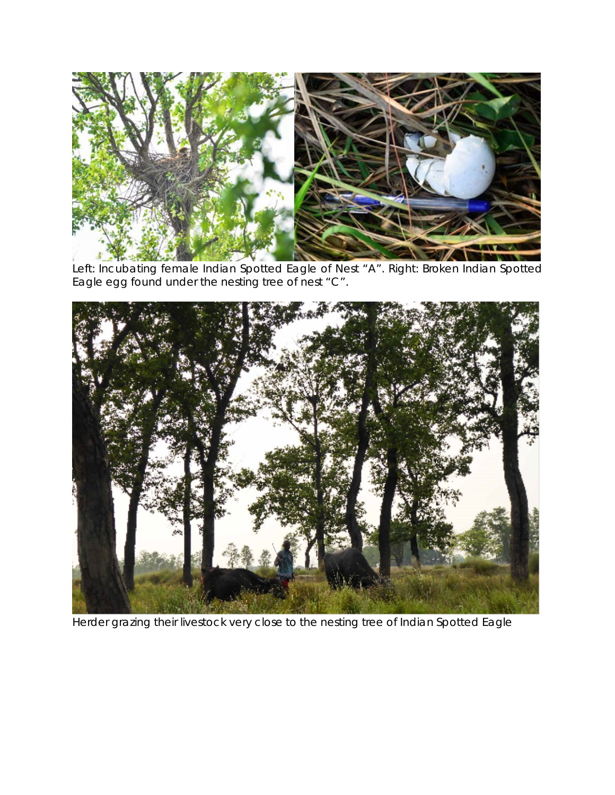

Left: Incubating female Indian Spotted Eagle of Nest "A". Right: Broken Indian Spotted Eagle egg found under the nesting tree of nest "C".



Herder grazing their livestock very close to the nesting tree of Indian Spotted Eagle